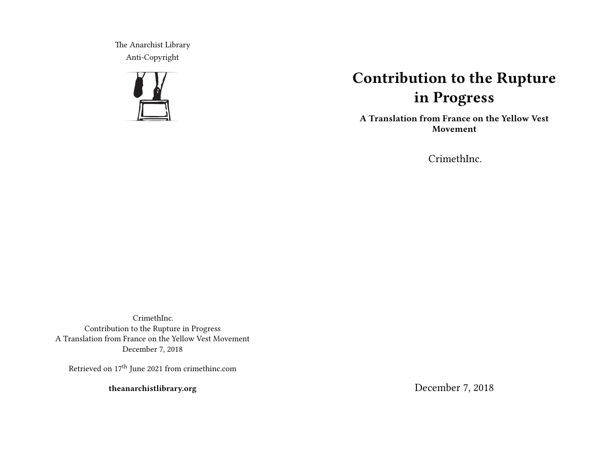The Anarchist Library Anti-Copyright



# **Contribution to the Rupture in Progress**

**A Translation from France on the Yellow Vest Movement**

CrimethInc.

CrimethInc. Contribution to the Rupture in Progress A Translation from France on the Yellow Vest Movement December 7, 2018

Retrieved on 17<sup>th</sup> June 2021 from crimethinc.com

**theanarchistlibrary.org**

December 7, 2018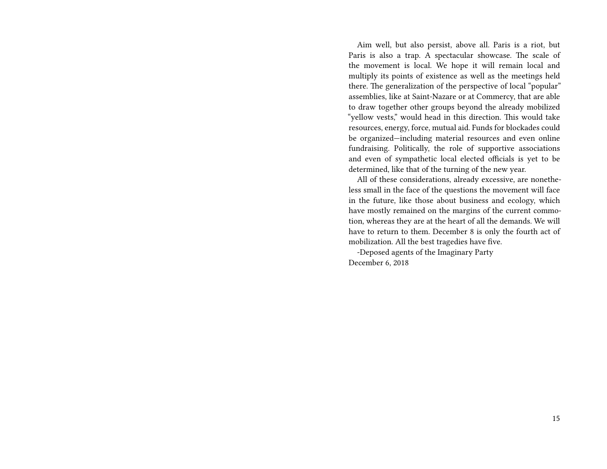Aim well, but also persist, above all. Paris is a riot, but Paris is also a trap. A spectacular showcase. The scale of the movement is local. We hope it will remain local and multiply its points of existence as well as the meetings held there. The generalization of the perspective of local "popular" assemblies, like at Saint-Nazare or at Commercy, that are able to draw together other groups beyond the already mobilized "yellow vests," would head in this direction. This would take resources, energy, force, mutual aid. Funds for blockades could be organized—including material resources and even online fundraising. Politically, the role of supportive associations and even of sympathetic local elected officials is yet to be determined, like that of the turning of the new year.

All of these considerations, already excessive, are nonetheless small in the face of the questions the movement will face in the future, like those about business and ecology, which have mostly remained on the margins of the current commotion, whereas they are at the heart of all the demands. We will have to return to them. December 8 is only the fourth act of mobilization. All the best tragedies have five.

-Deposed agents of the Imaginary Party December 6, 2018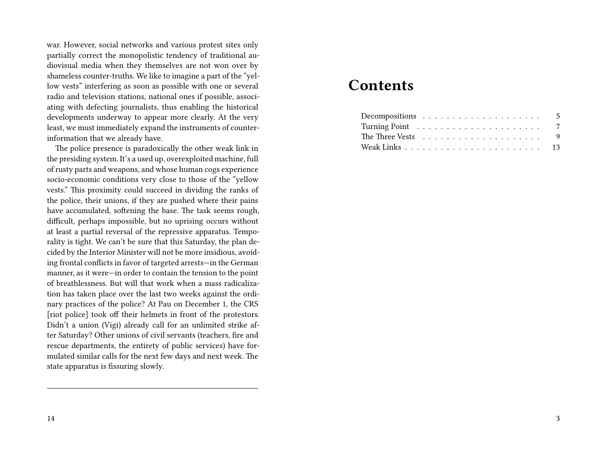war. However, social networks and various protest sites only partially correct the monopolistic tendency of traditional audiovisual media when they themselves are not won over by shameless counter-truths. We like to imagine a part of the "yellow vests" interfering as soon as possible with one or several radio and television stations, national ones if possible, associating with defecting journalists, thus enabling the historical developments underway to appear more clearly. At the very least, we must immediately expand the instruments of counterinformation that we already have.

The police presence is paradoxically the other weak link in the presiding system. It's a used up, overexploited machine, full of rusty parts and weapons, and whose human cogs experience socio-economic conditions very close to those of the "yellow vests." This proximity could succeed in dividing the ranks of the police, their unions, if they are pushed where their pains have accumulated, softening the base. The task seems rough, difficult, perhaps impossible, but no uprising occurs without at least a partial reversal of the repressive apparatus. Temporality is tight. We can't be sure that this Saturday, the plan decided by the Interior Minister will not be more insidious, avoiding frontal conflicts in favor of targeted arrests—in the German manner, as it were—in order to contain the tension to the point of breathlessness. But will that work when a mass radicalization has taken place over the last two weeks against the ordinary practices of the police? At Pau on December 1, the CRS [riot police] took off their helmets in front of the protestors. Didn't a union (Vigi) already call for an unlimited strike after Saturday? Other unions of civil servants (teachers, fire and rescue departments, the entirety of public services) have formulated similar calls for the next few days and next week. The state apparatus is fissuring slowly.

## **Contents**

| Decompositions $\ldots \ldots \ldots \ldots \ldots \ldots 5$      |  |  |  |  |  |  |  |  |  |  |  |
|-------------------------------------------------------------------|--|--|--|--|--|--|--|--|--|--|--|
|                                                                   |  |  |  |  |  |  |  |  |  |  |  |
| The Three Vests $\dots \dots \dots \dots \dots \dots \dots \dots$ |  |  |  |  |  |  |  |  |  |  |  |
|                                                                   |  |  |  |  |  |  |  |  |  |  |  |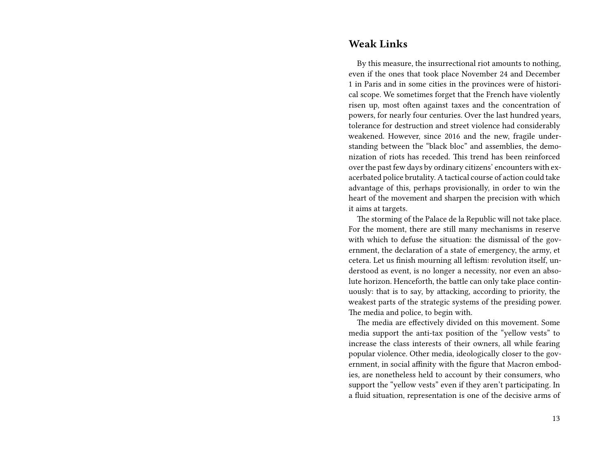#### **Weak Links**

By this measure, the insurrectional riot amounts to nothing, even if the ones that took place November 24 and December 1 in Paris and in some cities in the provinces were of historical scope. We sometimes forget that the French have violently risen up, most often against taxes and the concentration of powers, for nearly four centuries. Over the last hundred years, tolerance for destruction and street violence had considerably weakened. However, since 2016 and the new, fragile understanding between the "black bloc" and assemblies, the demonization of riots has receded. This trend has been reinforced over the past few days by ordinary citizens' encounters with exacerbated police brutality. A tactical course of action could take advantage of this, perhaps provisionally, in order to win the heart of the movement and sharpen the precision with which it aims at targets.

The storming of the Palace de la Republic will not take place. For the moment, there are still many mechanisms in reserve with which to defuse the situation: the dismissal of the government, the declaration of a state of emergency, the army, et cetera. Let us finish mourning all leftism: revolution itself, understood as event, is no longer a necessity, nor even an absolute horizon. Henceforth, the battle can only take place continuously: that is to say, by attacking, according to priority, the weakest parts of the strategic systems of the presiding power. The media and police, to begin with.

The media are effectively divided on this movement. Some media support the anti-tax position of the "yellow vests" to increase the class interests of their owners, all while fearing popular violence. Other media, ideologically closer to the government, in social affinity with the figure that Macron embodies, are nonetheless held to account by their consumers, who support the "yellow vests" even if they aren't participating. In a fluid situation, representation is one of the decisive arms of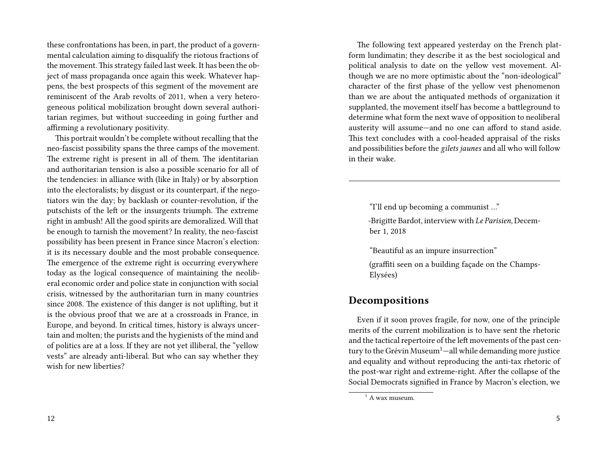these confrontations has been, in part, the product of a governmental calculation aiming to disqualify the riotous fractions of the movement. This strategy failed last week. It has been the object of mass propaganda once again this week. Whatever happens, the best prospects of this segment of the movement are reminiscent of the Arab revolts of 2011, when a very heterogeneous political mobilization brought down several authoritarian regimes, but without succeeding in going further and affirming a revolutionary positivity.

This portrait wouldn't be complete without recalling that the neo-fascist possibility spans the three camps of the movement. The extreme right is present in all of them. The identitarian and authoritarian tension is also a possible scenario for all of the tendencies: in alliance with (like in Italy) or by absorption into the electoralists; by disgust or its counterpart, if the negotiators win the day; by backlash or counter-revolution, if the putschists of the left or the insurgents triumph. The extreme right in ambush! All the good spirits are demoralized. Will that be enough to tarnish the movement? In reality, the neo-fascist possibility has been present in France since Macron's election: it is its necessary double and the most probable consequence. The emergence of the extreme right is occurring everywhere today as the logical consequence of maintaining the neoliberal economic order and police state in conjunction with social crisis, witnessed by the authoritarian turn in many countries since 2008. The existence of this danger is not uplifting, but it is the obvious proof that we are at a crossroads in France, in Europe, and beyond. In critical times, history is always uncertain and molten; the purists and the hygienists of the mind and of politics are at a loss. If they are not yet illiberal, the "yellow vests" are already anti-liberal. But who can say whether they wish for new liberties?

The following text appeared yesterday on the French platform lundimatin; they describe it as the best sociological and political analysis to date on the yellow vest movement. Although we are no more optimistic about the "non-ideological" character of the first phase of the yellow vest phenomenon than we are about the antiquated methods of organization it supplanted, the movement itself has become a battleground to determine what form the next wave of opposition to neoliberal austerity will assume—and no one can afford to stand aside. This text concludes with a cool-headed appraisal of the risks and possibilities before the *gilets jaunes* and all who will follow in their wake.

"I'll end up becoming a communist …"

-Brigitte Bardot, interview with *Le Parisien,* December 1, 2018

"Beautiful as an impure insurrection"

(graffiti seen on a building façade on the Champs-Elysées)

#### **Decompositions**

Even if it soon proves fragile, for now, one of the principle merits of the current mobilization is to have sent the rhetoric and the tactical repertoire of the left movements of the past century to the Grévin Museum<sup>1</sup>—all while demanding more justice and equality and without reproducing the anti-tax rhetoric of the post-war right and extreme-right. After the collapse of the Social Democrats signified in France by Macron's election, we

 $1$  A wax museum.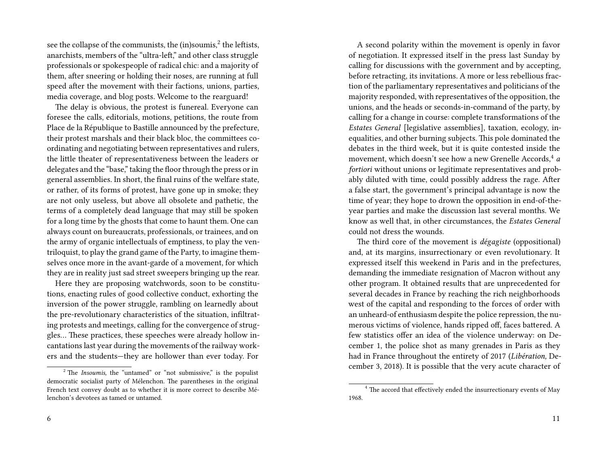see the collapse of the communists, the (in)soumis,<sup>2</sup> the leftists, anarchists, members of the "ultra-left," and other class struggle professionals or spokespeople of radical chic: and a majority of them, after sneering or holding their noses, are running at full speed after the movement with their factions, unions, parties, media coverage, and blog posts. Welcome to the rearguard!

The delay is obvious, the protest is funereal. Everyone can foresee the calls, editorials, motions, petitions, the route from Place de la République to Bastille announced by the prefecture, their protest marshals and their black bloc, the committees coordinating and negotiating between representatives and rulers, the little theater of representativeness between the leaders or delegates and the "base," taking the floor through the press or in general assemblies. In short, the final ruins of the welfare state, or rather, of its forms of protest, have gone up in smoke; they are not only useless, but above all obsolete and pathetic, the terms of a completely dead language that may still be spoken for a long time by the ghosts that come to haunt them. One can always count on bureaucrats, professionals, or trainees, and on the army of organic intellectuals of emptiness, to play the ventriloquist, to play the grand game of the Party, to imagine themselves once more in the avant-garde of a movement, for which they are in reality just sad street sweepers bringing up the rear.

Here they are proposing watchwords, soon to be constitutions, enacting rules of good collective conduct, exhorting the inversion of the power struggle, rambling on learnedly about the pre-revolutionary characteristics of the situation, infiltrating protests and meetings, calling for the convergence of struggles… These practices, these speeches were already hollow incantations last year during the movements of the railway workers and the students—they are hollower than ever today. For

A second polarity within the movement is openly in favor of negotiation. It expressed itself in the press last Sunday by calling for discussions with the government and by accepting, before retracting, its invitations. A more or less rebellious fraction of the parliamentary representatives and politicians of the majority responded, with representatives of the opposition, the unions, and the heads or seconds-in-command of the party, by calling for a change in course: complete transformations of the *Estates General* [legislative assemblies], taxation, ecology, inequalities, and other burning subjects. This pole dominated the debates in the third week, but it is quite contested inside the movement, which doesn't see how a new Grenelle Accords,<sup>4</sup> *a fortiori* without unions or legitimate representatives and probably diluted with time, could possibly address the rage. After a false start, the government's principal advantage is now the time of year; they hope to drown the opposition in end-of-theyear parties and make the discussion last several months. We know as well that, in other circumstances, the *Estates General* could not dress the wounds.

The third core of the movement is *dégagiste* (oppositional) and, at its margins, insurrectionary or even revolutionary. It expressed itself this weekend in Paris and in the prefectures, demanding the immediate resignation of Macron without any other program. It obtained results that are unprecedented for several decades in France by reaching the rich neighborhoods west of the capital and responding to the forces of order with an unheard-of enthusiasm despite the police repression, the numerous victims of violence, hands ripped off, faces battered. A few statistics offer an idea of the violence underway: on December 1, the police shot as many grenades in Paris as they had in France throughout the entirety of 2017 (*Libération,* December 3, 2018). It is possible that the very acute character of

<sup>&</sup>lt;sup>2</sup> The *Insoumis*, the "untamed" or "not submissive," is the populist democratic socialist party of Mélenchon. The parentheses in the original French text convey doubt as to whether it is more correct to describe Mélenchon's devotees as tamed or untamed.

<sup>&</sup>lt;sup>4</sup> The accord that effectively ended the insurrectionary events of May 1968.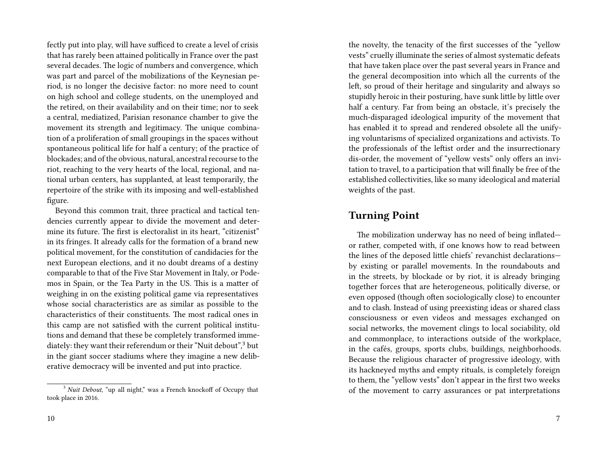fectly put into play, will have sufficed to create a level of crisis that has rarely been attained politically in France over the past several decades. The logic of numbers and convergence, which was part and parcel of the mobilizations of the Keynesian period, is no longer the decisive factor: no more need to count on high school and college students, on the unemployed and the retired, on their availability and on their time; nor to seek a central, mediatized, Parisian resonance chamber to give the movement its strength and legitimacy. The unique combination of a proliferation of small groupings in the spaces without spontaneous political life for half a century; of the practice of blockades; and of the obvious, natural, ancestral recourse to the riot, reaching to the very hearts of the local, regional, and national urban centers, has supplanted, at least temporarily, the repertoire of the strike with its imposing and well-established figure.

Beyond this common trait, three practical and tactical tendencies currently appear to divide the movement and determine its future. The first is electoralist in its heart, "citizenist" in its fringes. It already calls for the formation of a brand new political movement, for the constitution of candidacies for the next European elections, and it no doubt dreams of a destiny comparable to that of the Five Star Movement in Italy, or Podemos in Spain, or the Tea Party in the US. This is a matter of weighing in on the existing political game via representatives whose social characteristics are as similar as possible to the characteristics of their constituents. The most radical ones in this camp are not satisfied with the current political institutions and demand that these be completely transformed immediately: they want their referendum or their "Nuit debout",<sup>3</sup> but in the giant soccer stadiums where they imagine a new deliberative democracy will be invented and put into practice.

the novelty, the tenacity of the first successes of the "yellow vests" cruelly illuminate the series of almost systematic defeats that have taken place over the past several years in France and the general decomposition into which all the currents of the left, so proud of their heritage and singularity and always so stupidly heroic in their posturing, have sunk little by little over half a century. Far from being an obstacle, it's precisely the much-disparaged ideological impurity of the movement that has enabled it to spread and rendered obsolete all the unifying voluntarisms of specialized organizations and activists. To the professionals of the leftist order and the insurrectionary dis-order, the movement of "yellow vests" only offers an invitation to travel, to a participation that will finally be free of the established collectivities, like so many ideological and material weights of the past.

### **Turning Point**

The mobilization underway has no need of being inflated or rather, competed with, if one knows how to read between the lines of the deposed little chiefs' revanchist declarations by existing or parallel movements. In the roundabouts and in the streets, by blockade or by riot, it is already bringing together forces that are heterogeneous, politically diverse, or even opposed (though often sociologically close) to encounter and to clash. Instead of using preexisting ideas or shared class consciousness or even videos and messages exchanged on social networks, the movement clings to local sociability, old and commonplace, to interactions outside of the workplace, in the cafés, groups, sports clubs, buildings, neighborhoods. Because the religious character of progressive ideology, with its hackneyed myths and empty rituals, is completely foreign to them, the "yellow vests" don't appear in the first two weeks of the movement to carry assurances or pat interpretations

<sup>&</sup>lt;sup>3</sup> *Nuit Debout,* "up all night," was a French knockoff of Occupy that took place in 2016.